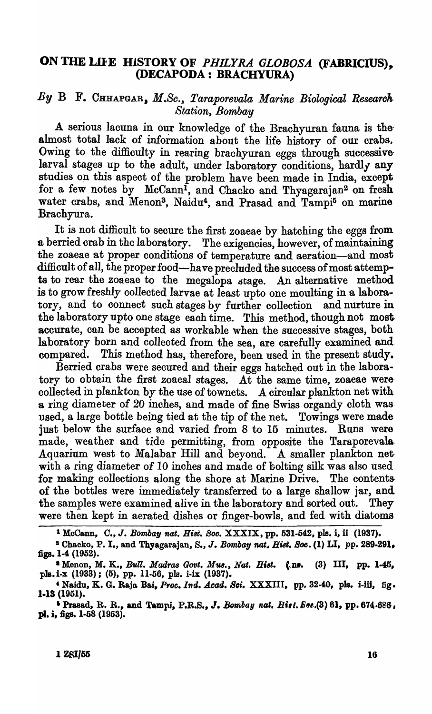## ON THE LIFE HISTORY OF *PHILYRA GLOBOSA* (FABRICIUS), (DECAPODA: BRACHYURA)

## By B F. CHHAPGAR, M.Sc., Taraporevala Marine Biological Research *Station, Bombay*

A serious lacuna in our knowledge of the Brachyuran fauna is thealmost total lack of information about the life history of our crabs. Owing to the difficulty in rearing brachyuran eggs through successive larval stages up to the adult, under laboratory conditions, hardly any studies on this aspect of the problem have been made in India, except for a few notes by McCann<sup>1</sup>, and Chacko and Thyagarajan<sup>2</sup> on fresh water crabs, and Menon<sup>3</sup>, Naidu<sup>4</sup>, and Prasad and Tampi<sup>5</sup> on marine Brachyura.

It is not difficult to secure the first zoaeae by hatching the eggs from a berried crab in the laboratory. The exigencies, however, of maintaining the zoaeae at proper conditions of temperature and aeration-and most difficult of all, the proper food-have precluded the success of most attempts to rear the zoaeae to the megalopa stage. An alternative method is to grow freshly collected larvae at least upto one moulting in a laboratory, and to connect such stages by further collection and nurture in the laboratory upto one stage each time. This method, though not most accurate, can be accepted as workable when the successive stages, both laboratory born and collected from the sea, are carefully examined and. compared. This method has, therefore, been used in the present study.

Berried crabs were secured and their eggs hatched out in the laboratory to obtain the first zoaeal stages. At the same time, zoaeae werecollected in plankton by the use of townets. A circular plankton net with a ring diameter of 20 inches, and made of fine Swiss organdy cloth was· used, a large bottle being tied at the tip of the net. Towings were made just below the surface and varied from 8 to 15 minutes. Runs were made, weather and tide permitting, from opposite the Taraporevala. Aquarium west to Malabar Hill and beyond. A smaller plankton net· with a ring diameter of 10 inches and made of bolting silk was also used for making collections along the shore at Marine Drive. The contentsof the bottles were immediately transferred to a large shallow jar, and the samples were examined alive in the laboratory and sorted out. They were then kept in aerated dishes or finger-bowls, and fed with diatoms

<sup>&</sup>lt;sup>1</sup> McCann, C., J. *Bombay nat. Hist. Soc.* XXXIX, pp. 531-542, pls. i, ii (1937).

<sup>&</sup>lt;sup>2</sup> Chacko, P. I., and Thy agarajan, S., J. *Bombay nat. Hist. Soc.* (1) LI, pp. 289-291. figs. 1-4 (1952).

<sup>&</sup>lt;sup>3</sup> Menon, M. K., *Bull. Madras Govt. Mus.*, *Nat. Hist.* (\ns. (3) III, pp. 1-45, pls. i-x (1933); (5), pp. 11-56, pls. i-ix (1937).

<sup>&</sup>lt;sup>4</sup> Naidu, K. G. Raja Bai, *Proc. Ind. Acad. Sci.* XXXIII, pp. 32-40, pls. i-iii, fig. 1.13 (1951).

<sup>&</sup>lt;sup>5</sup> Prasad, R. R., and Tampi, P.R.S., *J. Bombay nat. Rist. Sec.*(3) 61, pp. 674.686, pl. i, figs. 1·58 (1963).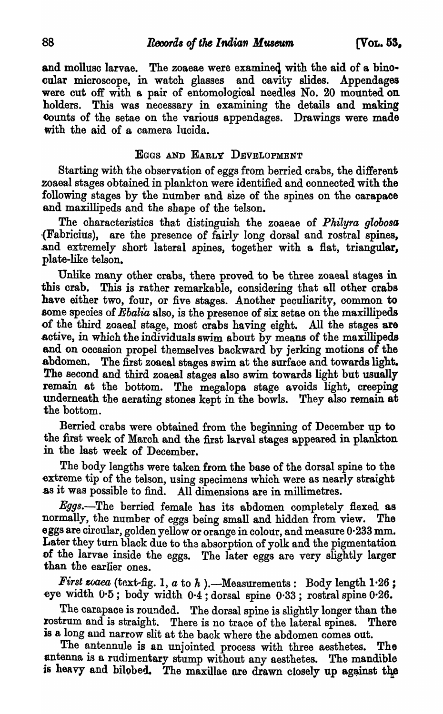and mollusc larvae. The zoaeae were examined with the aid of a binocular microsoope, in watoh glasses and cavity slides. Appendages were cut off with a pair of entomological needles No. 20 mounted on holders. This was necessary in examining the details and making eounts of the setae on the various appendages. Drawings were made with the aid of a camera lucida.

## EGGS AND EARLY DEVELOPMENT

Starting with the observation of eggs from berried crabs, the different zoaeal stages obtained in plankton were identified and connected with the following stages by the number and size of the spines on the carapace and maxillipeds and the shape of the telson.

The characteristics that distinguish the zoaeae of *Philyra globosa* ,(Fabricius), are the presence of fairly long dorsal and rostral spines, and extremely short lateral spines, together with a flat, triangular, plate-like telson.

Unlike many other crabs, there proved to be three zoaeal stages in this crab. This is rather remarkable, considering that all other orabs have either two, four, or five stages. Another peculiarity, oommon to some species of *Ebalia* also, is the presence of six setae on the maxillipeds of the third zoaeal stage, most crabs having eight. All the stages are active, in which the individuals swim about by means of the maxillipeds and on occasion propel themselves backward by jerking motions of the abdomen. The first zoaeal stages swim at the surface and towards light. The second and third zoaeal stages also swim towards light but usually remain at the bottom. The megalopa stage avoids light, creeping underneath the aerating stones kept in the bowls. They also remain at the bottom.

Berried crabs were obtained from the beginning of December up to the first week of March and the first larval stages appeared in plankton in the last week of December.

The body lengths were taken from the base of the dorsal spine to the extreme tip of the telson, using specimens which were as nearly straight as it was possible to find. All dimensions are in millimetres.

Eggs.-The berried female has its abdomen completely flexed as normally, the number of eggs being small and hidden from view. The eggs are circular, golden yellow or orange in colour, and measure 0·233 mm. Later they turn black due to the absorption of yolk and the pigmentation of the larvae inside the eggs. The later eggs are very slightly larger than the earlier ones.

 $First\space vaca\space$  (text-fig. 1,  $a\space$  to  $h\space$ ). --Measurements: Body length  $1·26$ ; ~ye width 0-5; body width 0·4; dorsal spine 0·33; rostral spine 0-26.

The carapace is rounded. The dorsal spine is slightly longer than the rostrum and is straight. There is no trace of the lateral spines. There There is no trace of the lateral spines. There is a long and narrow slit at the back where the abdomen comes out.

The antennule is an unjointed process with three aesthetes. The antenna is a rudimentary stump without any aesthetes. The mandible is heavy and bilobed. The maxillae are drawn closely up against the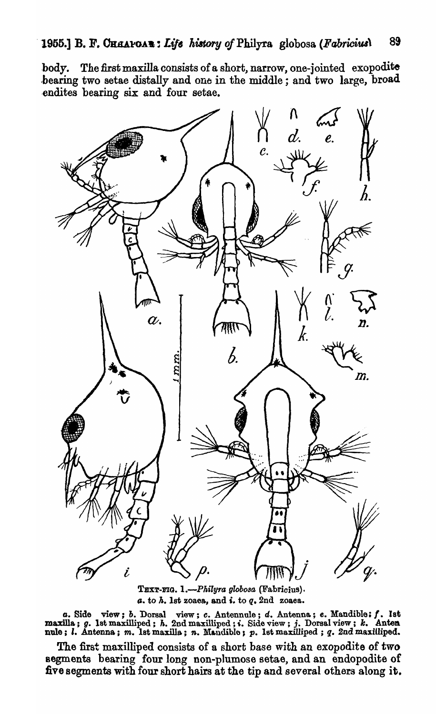body. The first maxilla consists of a short, narrow, one-jointed exopodite .bearing two setae distally and ono in the middle; and two large, broad -endites bearing six and four setae.



TEXT-FIG. *1.-Philllra globosQ,* (Fabricius). *a.* to *h.* 1st zoaea, and *i.* to *q.* 2nd zoaea.

o. Side view; *b.* Dorsa.l view; *c.* Antennole; *d.* Antenna,; *e.* Mandible: f. 1st maxilla; g. 1st maxilliped; *h. 2nd maxilliped*; *i. Side view*; *j. Dorsal view*; *k. Anten* nule; *I.* Antenna; *m*. Ist maxilla; *n*. Mandiblo; *p*. Ist maxilliped; *q. 2nd* maxilliped.

The first maxilliped consists of a short base with an exopodite of two segments bearing four long non-plumose setae, and an endopodite of five segments with four short hairs at the tip and several others along it.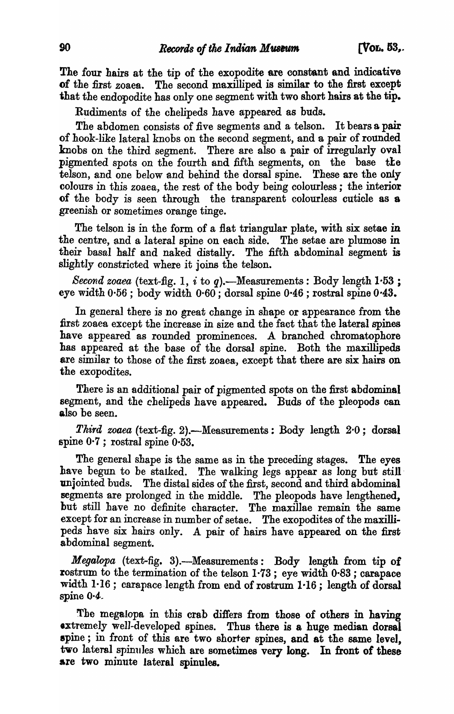The four hairs at the tip of the exopodite are constant and indicative of the first zoaes. The second maxilliped is similar to the first except that the endopodite has only one segment with two short hairs at the tip.

Rudiments of the chelipeds have appeared as buds.

The abdomen consists of five segments and a telson. It bears a pair of hook-like lateral knobs on the second segment, and a pair of rounded knobs on the third segment. There are also a pair of irregularly oval pigmented spots on the fourth and fifth segments, on the base the telson, and one below and behind the dorsal spine. These are the only colours in this zoaea, the rest of the body being colourless; the interior of the body is seen through the transparent colourless cuticle as 8 greenish or sometimes orange tinge.

The telson is in the form of a flat triangular plate, with six setae in the centre, and a lateral spine on each side. The setae are plumose in their basal half and naked distally. The fifth abdominal segment is slightly constricted where it joins the telson.

*Second zoaea* (text-fig. 1,  $i$  to  $q$ ).—Measurements: Body length  $1.53$ ; eye width 0-56 ; body width 0·60; dorsal spine 0-46 ; rostral spine 0-43.

In general there is no great change in shape or appearance from the :first zoaea except the increase in size and the fact that the lateral spines have appeared as rounded prominences. A branched chromatophore has appeared at the base of the dorsal spine. Both the maxillipeds are similar to those of the first zoaea, except that there are six hairs on the exopodites.

There is an additional pair of pigmented spots on the first abdominal segment, and the chelipeds have appeared. Buds of the pleopods can also be seen.

Third *zoaea* (text-fig. 2).-Measurements: Body length 2.0; dorsal spine 0-7 ; rostral spine 0·53.

The general shape is the same as in the preceding stages. The eyes have begun to be stalked. The walking legs appear as long but still unjointed buds. The distal sides of the first, second and third abdominal segments are prolonged in the middle. The pleopods have lengthened, but still have no definite character. The maxillae remain the same except for an increase in number of setae. The exopodites of the maxillipeds have six hairs only. A pair of hairs have appeared on the first abdominal segment.

*Megalopa* (text-fig. 3).—Measurements: Body length from tip of rostrum to the termination of the telson 1·73; eye width 0·83 ; carapace width  $1-16$ ; carapace length from end of rostrum  $1-16$ ; length of dorsal spine  $0.4$ .

Tbe megalopa in this crab differs from those of others in having extremely well-developed spines. Thus there is a huge median dorsal spine; in front of this are two shorter spines, and at the same level, two lateral spinules which are sometimes very long. In front of these are two minute lateral spinules.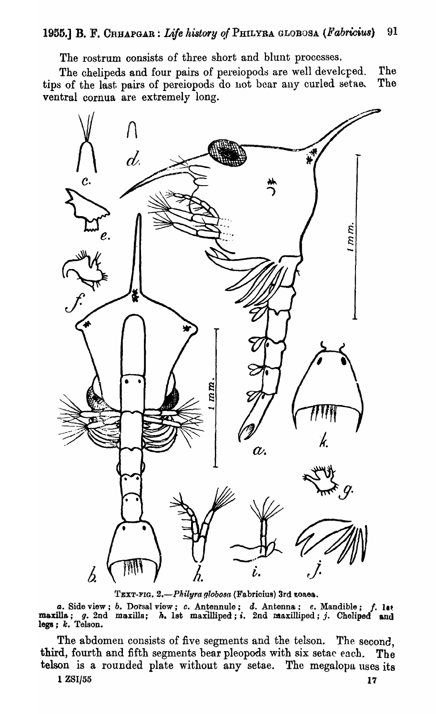The rostrum consists of three short and blunt processes.

The chelipeds and four pairs of pereiopods are well develcped. The<br>s of the last pairs of pereiopods do not bear any curled setae. The tips of the last pairs of pereiopods do not bear any curled setae. ventral cornua are extremely long.



TEXT-FIG. 2.-Philyra globosa (Fabricius) 3rd zoaea.

*a.* Side view; *b. Dorsal view; c. Antennule; d. Antenna; e. Mandible; f. lat* maxilla; g. 2nd maxilla; *h.* 1st maxilliped; i. 2nd maxilliped; j. Cheliped and legs;  $k$ . Telson.  $\blacksquare$ 

The abdomen consists of five segments and the telson. The second, third, fourth and fifth segments bear pleopods with six setae each. The telson is a rounded plate without any setae. The megalopa uses its